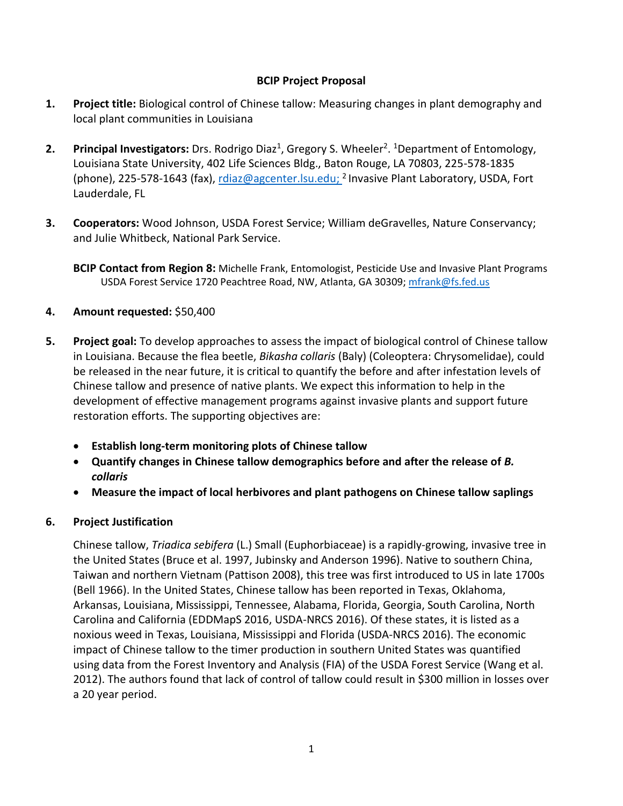### **BCIP Project Proposal**

- **1. Project title:** Biological control of Chinese tallow: Measuring changes in plant demography and local plant communities in Louisiana
- **2.** Principal Investigators: Drs. Rodrigo Diaz<sup>1</sup>, Gregory S. Wheeler<sup>2</sup>. <sup>1</sup>Department of Entomology, Louisiana State University, 402 Life Sciences Bldg., Baton Rouge, LA 70803, 225-578-1835 (phone), 225-578-1643 (fax), [rdiaz@agcenter.lsu.edu;](mailto:rdiaz@agcenter.lsu.edu) <sup>2</sup> Invasive Plant Laboratory, USDA, Fort Lauderdale, FL
- **3. Cooperators:** Wood Johnson, USDA Forest Service; William deGravelles, Nature Conservancy; and Julie Whitbeck, National Park Service.
	- **BCIP Contact from Region 8:** Michelle Frank, Entomologist, Pesticide Use and Invasive Plant Programs USDA Forest Service 1720 Peachtree Road, NW, Atlanta, GA 30309[; mfrank@fs.fed.us](mailto:mfrank@fs.fed.us)

## **4. Amount requested:** \$50,400

- **5. Project goal:** To develop approaches to assess the impact of biological control of Chinese tallow in Louisiana. Because the flea beetle, *Bikasha collaris* (Baly) (Coleoptera: Chrysomelidae), could be released in the near future, it is critical to quantify the before and after infestation levels of Chinese tallow and presence of native plants. We expect this information to help in the development of effective management programs against invasive plants and support future restoration efforts. The supporting objectives are:
	- **Establish long-term monitoring plots of Chinese tallow**
	- **Quantify changes in Chinese tallow demographics before and after the release of** *B. collaris*
	- **Measure the impact of local herbivores and plant pathogens on Chinese tallow saplings**

### **6. Project Justification**

Chinese tallow, *Triadica sebifera* (L.) Small (Euphorbiaceae) is a rapidly-growing, invasive tree in the United States (Bruce et al. 1997, Jubinsky and Anderson 1996). Native to southern China, Taiwan and northern Vietnam (Pattison 2008), this tree was first introduced to US in late 1700s (Bell 1966). In the United States, Chinese tallow has been reported in Texas, Oklahoma, Arkansas, Louisiana, Mississippi, Tennessee, Alabama, Florida, Georgia, South Carolina, North Carolina and California (EDDMapS 2016, USDA-NRCS 2016). Of these states, it is listed as a noxious weed in Texas, Louisiana, Mississippi and Florida (USDA-NRCS 2016). The economic impact of Chinese tallow to the timer production in southern United States was quantified using data from the Forest Inventory and Analysis (FIA) of the USDA Forest Service (Wang et al. 2012). The authors found that lack of control of tallow could result in \$300 million in losses over a 20 year period.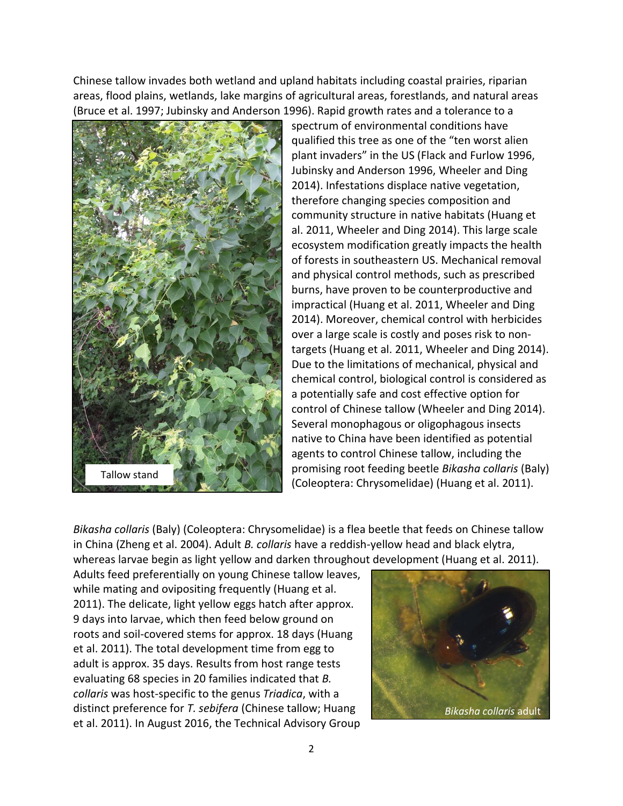Chinese tallow invades both wetland and upland habitats including coastal prairies, riparian areas, flood plains, wetlands, lake margins of agricultural areas, forestlands, and natural areas (Bruce et al. 1997; Jubinsky and Anderson 1996). Rapid growth rates and a tolerance to a



spectrum of environmental conditions have qualified this tree as one of the "ten worst alien plant invaders" in the US (Flack and Furlow 1996, Jubinsky and Anderson 1996, Wheeler and Ding 2014). Infestations displace native vegetation, therefore changing species composition and community structure in native habitats (Huang et al. 2011, Wheeler and Ding 2014). This large scale ecosystem modification greatly impacts the health of forests in southeastern US. Mechanical removal and physical control methods, such as prescribed burns, have proven to be counterproductive and impractical (Huang et al. 2011, Wheeler and Ding 2014). Moreover, chemical control with herbicides over a large scale is costly and poses risk to nontargets (Huang et al. 2011, Wheeler and Ding 2014). Due to the limitations of mechanical, physical and chemical control, biological control is considered as a potentially safe and cost effective option for control of Chinese tallow (Wheeler and Ding 2014). Several monophagous or oligophagous insects native to China have been identified as potential agents to control Chinese tallow, including the promising root feeding beetle *Bikasha collaris* (Baly) (Coleoptera: Chrysomelidae) (Huang et al. 2011).

*Bikasha collaris* (Baly) (Coleoptera: Chrysomelidae) is a flea beetle that feeds on Chinese tallow in China (Zheng et al. 2004). Adult *B. collaris* have a reddish-yellow head and black elytra, whereas larvae begin as light yellow and darken throughout development (Huang et al. 2011).

Adults feed preferentially on young Chinese tallow leaves, while mating and ovipositing frequently (Huang et al. 2011). The delicate, light yellow eggs hatch after approx. 9 days into larvae, which then feed below ground on roots and soil-covered stems for approx. 18 days (Huang et al. 2011). The total development time from egg to adult is approx. 35 days. Results from host range tests evaluating 68 species in 20 families indicated that *B. collaris* was host-specific to the genus *Triadica*, with a distinct preference for *T. sebifera* (Chinese tallow; Huang et al. 2011). In August 2016, the Technical Advisory Group

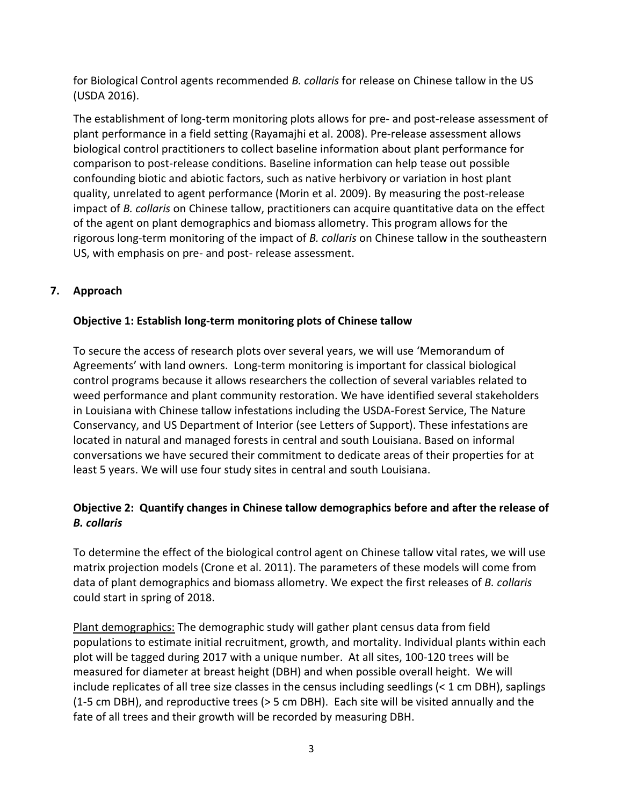for Biological Control agents recommended *B. collaris* for release on Chinese tallow in the US (USDA 2016).

The establishment of long-term monitoring plots allows for pre- and post-release assessment of plant performance in a field setting (Rayamajhi et al. 2008). Pre-release assessment allows biological control practitioners to collect baseline information about plant performance for comparison to post-release conditions. Baseline information can help tease out possible confounding biotic and abiotic factors, such as native herbivory or variation in host plant quality, unrelated to agent performance (Morin et al. 2009). By measuring the post-release impact of *B. collaris* on Chinese tallow, practitioners can acquire quantitative data on the effect of the agent on plant demographics and biomass allometry. This program allows for the rigorous long-term monitoring of the impact of *B. collaris* on Chinese tallow in the southeastern US, with emphasis on pre- and post- release assessment.

# **7. Approach**

## **Objective 1: Establish long-term monitoring plots of Chinese tallow**

To secure the access of research plots over several years, we will use 'Memorandum of Agreements' with land owners. Long-term monitoring is important for classical biological control programs because it allows researchers the collection of several variables related to weed performance and plant community restoration. We have identified several stakeholders in Louisiana with Chinese tallow infestations including the USDA-Forest Service, The Nature Conservancy, and US Department of Interior (see Letters of Support). These infestations are located in natural and managed forests in central and south Louisiana. Based on informal conversations we have secured their commitment to dedicate areas of their properties for at least 5 years. We will use four study sites in central and south Louisiana.

# **Objective 2: Quantify changes in Chinese tallow demographics before and after the release of**  *B. collaris*

To determine the effect of the biological control agent on Chinese tallow vital rates, we will use matrix projection models (Crone et al. 2011). The parameters of these models will come from data of plant demographics and biomass allometry. We expect the first releases of *B. collaris* could start in spring of 2018.

Plant demographics: The demographic study will gather plant census data from field populations to estimate initial recruitment, growth, and mortality. Individual plants within each plot will be tagged during 2017 with a unique number. At all sites, 100-120 trees will be measured for diameter at breast height (DBH) and when possible overall height. We will include replicates of all tree size classes in the census including seedlings (< 1 cm DBH), saplings (1-5 cm DBH), and reproductive trees (> 5 cm DBH). Each site will be visited annually and the fate of all trees and their growth will be recorded by measuring DBH.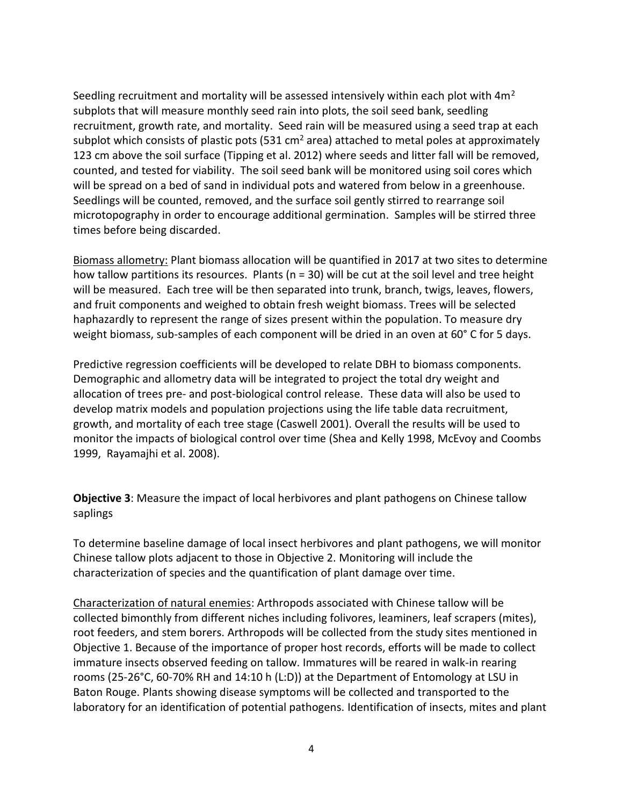Seedling recruitment and mortality will be assessed intensively within each plot with 4m<sup>2</sup> subplots that will measure monthly seed rain into plots, the soil seed bank, seedling recruitment, growth rate, and mortality. Seed rain will be measured using a seed trap at each subplot which consists of plastic pots (531 cm<sup>2</sup> area) attached to metal poles at approximately 123 cm above the soil surface (Tipping et al. 2012) where seeds and litter fall will be removed, counted, and tested for viability. The soil seed bank will be monitored using soil cores which will be spread on a bed of sand in individual pots and watered from below in a greenhouse. Seedlings will be counted, removed, and the surface soil gently stirred to rearrange soil microtopography in order to encourage additional germination. Samples will be stirred three times before being discarded.

Biomass allometry: Plant biomass allocation will be quantified in 2017 at two sites to determine how tallow partitions its resources. Plants (n = 30) will be cut at the soil level and tree height will be measured. Each tree will be then separated into trunk, branch, twigs, leaves, flowers, and fruit components and weighed to obtain fresh weight biomass. Trees will be selected haphazardly to represent the range of sizes present within the population. To measure dry weight biomass, sub-samples of each component will be dried in an oven at 60° C for 5 days.

Predictive regression coefficients will be developed to relate DBH to biomass components. Demographic and allometry data will be integrated to project the total dry weight and allocation of trees pre- and post-biological control release. These data will also be used to develop matrix models and population projections using the life table data recruitment, growth, and mortality of each tree stage (Caswell 2001). Overall the results will be used to monitor the impacts of biological control over time (Shea and Kelly 1998, McEvoy and Coombs 1999, Rayamajhi et al. 2008).

**Objective 3**: Measure the impact of local herbivores and plant pathogens on Chinese tallow saplings

To determine baseline damage of local insect herbivores and plant pathogens, we will monitor Chinese tallow plots adjacent to those in Objective 2. Monitoring will include the characterization of species and the quantification of plant damage over time.

Characterization of natural enemies: Arthropods associated with Chinese tallow will be collected bimonthly from different niches including folivores, leaminers, leaf scrapers (mites), root feeders, and stem borers. Arthropods will be collected from the study sites mentioned in Objective 1. Because of the importance of proper host records, efforts will be made to collect immature insects observed feeding on tallow. Immatures will be reared in walk-in rearing rooms (25-26°C, 60-70% RH and 14:10 h (L:D)) at the Department of Entomology at LSU in Baton Rouge. Plants showing disease symptoms will be collected and transported to the laboratory for an identification of potential pathogens. Identification of insects, mites and plant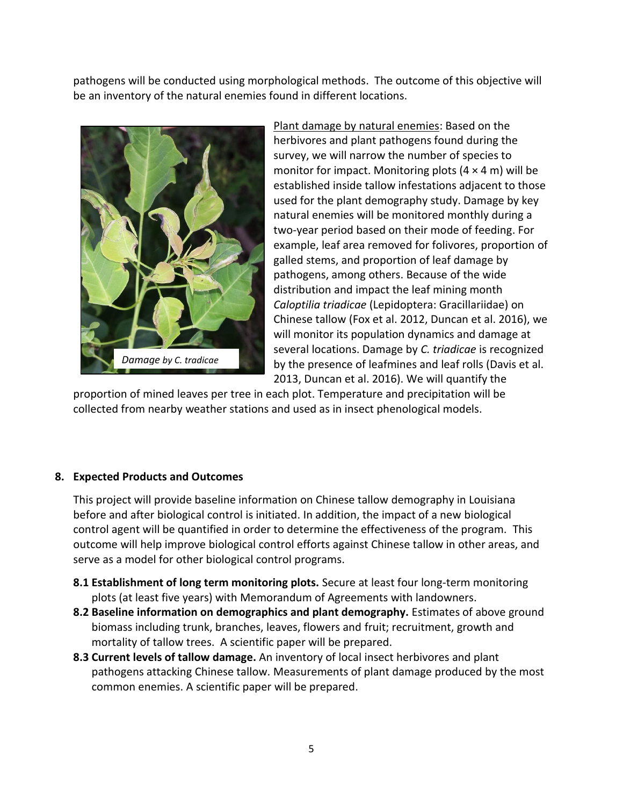pathogens will be conducted using morphological methods. The outcome of this objective will be an inventory of the natural enemies found in different locations.



Plant damage by natural enemies: Based on the herbivores and plant pathogens found during the survey, we will narrow the number of species to monitor for impact. Monitoring plots  $(4 \times 4 \text{ m})$  will be established inside tallow infestations adjacent to those used for the plant demography study. Damage by key natural enemies will be monitored monthly during a two-year period based on their mode of feeding. For example, leaf area removed for folivores, proportion of galled stems, and proportion of leaf damage by pathogens, among others. Because of the wide distribution and impact the leaf mining month *Caloptilia triadicae* (Lepidoptera: Gracillariidae) on Chinese tallow (Fox et al. 2012, Duncan et al. 2016), we will monitor its population dynamics and damage at several locations. Damage by *C. triadicae* is recognized by the presence of leafmines and leaf rolls (Davis et al. 2013, Duncan et al. 2016). We will quantify the

proportion of mined leaves per tree in each plot. Temperature and precipitation will be collected from nearby weather stations and used as in insect phenological models.

### **8. Expected Products and Outcomes**

This project will provide baseline information on Chinese tallow demography in Louisiana before and after biological control is initiated. In addition, the impact of a new biological control agent will be quantified in order to determine the effectiveness of the program. This outcome will help improve biological control efforts against Chinese tallow in other areas, and serve as a model for other biological control programs.

- **8.1 Establishment of long term monitoring plots.** Secure at least four long-term monitoring plots (at least five years) with Memorandum of Agreements with landowners.
- **8.2 Baseline information on demographics and plant demography.** Estimates of above ground biomass including trunk, branches, leaves, flowers and fruit; recruitment, growth and mortality of tallow trees. A scientific paper will be prepared.
- **8.3 Current levels of tallow damage.** An inventory of local insect herbivores and plant pathogens attacking Chinese tallow. Measurements of plant damage produced by the most common enemies. A scientific paper will be prepared.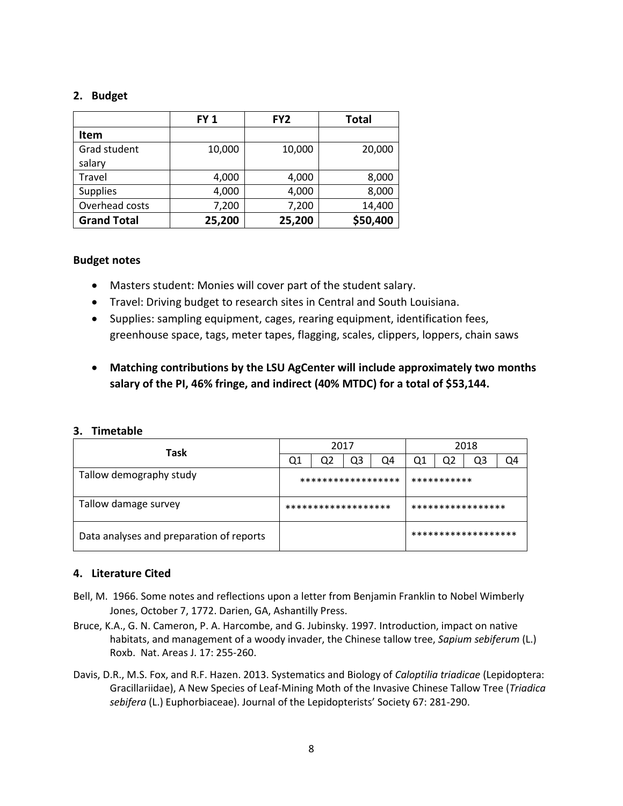#### **2. Budget**

|                    | <b>FY1</b> | FY <sub>2</sub> | <b>Total</b> |  |  |
|--------------------|------------|-----------------|--------------|--|--|
| Item               |            |                 |              |  |  |
| Grad student       | 10,000     | 10,000          | 20,000       |  |  |
| salary             |            |                 |              |  |  |
| Travel             | 4,000      | 4,000           | 8,000        |  |  |
| <b>Supplies</b>    | 4,000      | 4,000           | 8,000        |  |  |
| Overhead costs     | 7,200      | 7,200           | 14,400       |  |  |
| <b>Grand Total</b> | 25,200     | 25,200          | \$50,400     |  |  |

#### **Budget notes**

- Masters student: Monies will cover part of the student salary.
- Travel: Driving budget to research sites in Central and South Louisiana.
- Supplies: sampling equipment, cages, rearing equipment, identification fees, greenhouse space, tags, meter tapes, flagging, scales, clippers, loppers, chain saws
- **Matching contributions by the LSU AgCenter will include approximately two months salary of the PI, 46% fringe, and indirect (40% MTDC) for a total of \$53,144.**

#### **3. Timetable**

| Task                                     |                    | 2017                |    |    |             | 2018              |                     |  |  |
|------------------------------------------|--------------------|---------------------|----|----|-------------|-------------------|---------------------|--|--|
|                                          | Q1                 | Q2                  | Q3 | Q4 | Ο1          | Q2                | Q3                  |  |  |
| Tallow demography study                  | ****************** |                     |    |    | *********** |                   |                     |  |  |
| Tallow damage survey                     |                    | ******************* |    |    |             | ***************** |                     |  |  |
| Data analyses and preparation of reports |                    |                     |    |    |             |                   | ******************* |  |  |

### **4. Literature Cited**

- Bell, M. 1966. Some notes and reflections upon a letter from Benjamin Franklin to Nobel Wimberly Jones, October 7, 1772. Darien, GA, Ashantilly Press.
- Bruce, K.A., G. N. Cameron, P. A. Harcombe, and G. Jubinsky. 1997. Introduction, impact on native habitats, and management of a woody invader, the Chinese tallow tree, *Sapium sebiferum* (L.) Roxb. Nat. Areas J. 17: 255-260.
- Davis, D.R., M.S. Fox, and R.F. Hazen. 2013. Systematics and Biology of *Caloptilia triadicae* (Lepidoptera: Gracillariidae), A New Species of Leaf-Mining Moth of the Invasive Chinese Tallow Tree (*Triadica sebifera* (L.) Euphorbiaceae). Journal of the Lepidopterists' Society 67: 281-290.